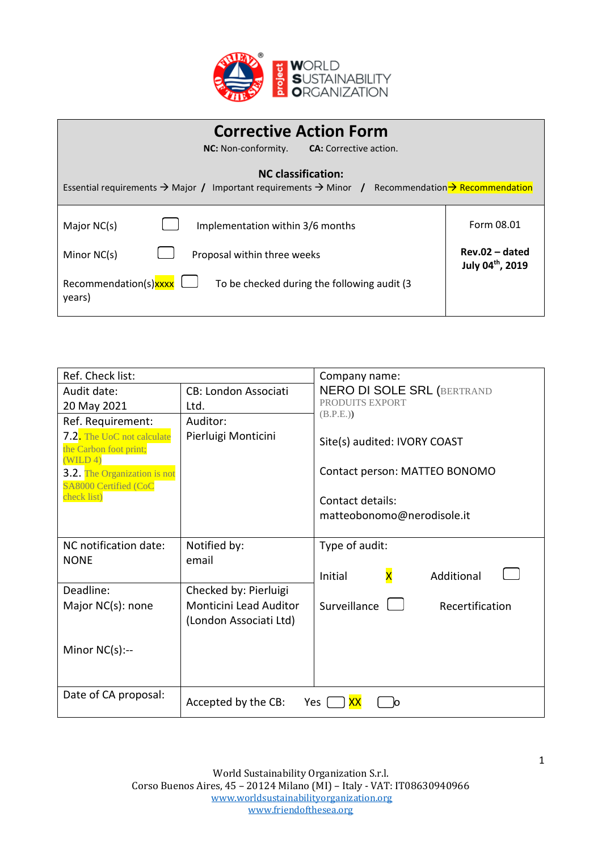

| <b>Corrective Action Form</b><br>NC: Non-conformity.<br><b>CA:</b> Corrective action.                                                                              |                                                                |  |
|--------------------------------------------------------------------------------------------------------------------------------------------------------------------|----------------------------------------------------------------|--|
| <b>NC</b> classification:<br>Essential requirements $\rightarrow$ Major / Important requirements $\rightarrow$ Minor / Recommendation $\rightarrow$ Recommendation |                                                                |  |
| Implementation within 3/6 months<br>Major NC(s)<br>Minor NC(s)<br>Proposal within three weeks                                                                      | Form 08.01<br>$Rev.02 - dated$<br>July 04 <sup>th</sup> , 2019 |  |
| Recommendation(s)xxxx<br>To be checked during the following audit (3)<br>years)                                                                                    |                                                                |  |

| Ref. Check list:                                                |                               | Company name:                                    |  |
|-----------------------------------------------------------------|-------------------------------|--------------------------------------------------|--|
| Audit date:                                                     | <b>CB: London Associati</b>   | <b>NERO DI SOLE SRL (BERTRAND</b>                |  |
| 20 May 2021                                                     | Ltd.                          | PRODUITS EXPORT<br>(B.P.E.)                      |  |
| Ref. Requirement:                                               | Auditor:                      |                                                  |  |
| 7.2. The UoC not calculate<br>the Carbon foot print;<br>(WILD4) | Pierluigi Monticini           | Site(s) audited: IVORY COAST                     |  |
| 3.2. The Organization is not<br>SA8000 Certified (CoC           |                               | Contact person: MATTEO BONOMO                    |  |
| check list)                                                     |                               | Contact details:                                 |  |
|                                                                 |                               | matteobonomo@nerodisole.it                       |  |
|                                                                 |                               |                                                  |  |
| NC notification date:                                           | Notified by:                  | Type of audit:                                   |  |
| <b>NONE</b>                                                     | email                         |                                                  |  |
|                                                                 |                               | $\overline{\mathsf{x}}$<br>Initial<br>Additional |  |
| Deadline:                                                       | Checked by: Pierluigi         |                                                  |  |
| Major NC(s): none                                               | <b>Monticini Lead Auditor</b> | Surveillance $\Box$<br>Recertification           |  |
|                                                                 | (London Associati Ltd)        |                                                  |  |
|                                                                 |                               |                                                  |  |
| Minor $NC(s)$ :--                                               |                               |                                                  |  |
|                                                                 |                               |                                                  |  |
|                                                                 |                               |                                                  |  |
| Date of CA proposal:                                            | Accepted by the CB:           | Yes<br>O                                         |  |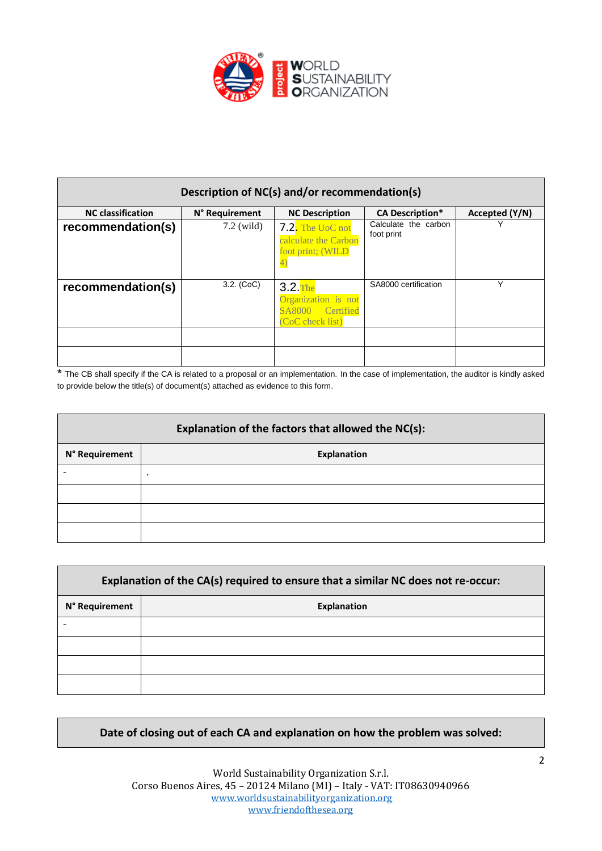

| Description of NC(s) and/or recommendation(s) |                |                                                                            |                                    |                |
|-----------------------------------------------|----------------|----------------------------------------------------------------------------|------------------------------------|----------------|
| <b>NC</b> classification                      | N° Requirement | <b>NC Description</b>                                                      | <b>CA Description*</b>             | Accepted (Y/N) |
| recommendation(s)                             | $7.2$ (wild)   | 7.2. The UoC not<br>calculate the Carbon<br>foot print; (WILD              | Calculate the carbon<br>foot print |                |
| recommendation(s)                             | $3.2.$ (CoC)   | $3.2$ . The<br>Organization is not<br>SA8000 Certified<br>(CoC check list) | SA8000 certification               | ٧              |
|                                               |                |                                                                            |                                    |                |
|                                               |                |                                                                            |                                    |                |

\* The CB shall specify if the CA is related to a proposal or an implementation. In the case of implementation, the auditor is kindly asked to provide below the title(s) of document(s) attached as evidence to this form.

| Explanation of the factors that allowed the NC(s): |                    |  |
|----------------------------------------------------|--------------------|--|
| N° Requirement                                     | <b>Explanation</b> |  |
|                                                    | $\bullet$          |  |
|                                                    |                    |  |
|                                                    |                    |  |
|                                                    |                    |  |

| Explanation of the CA(s) required to ensure that a similar NC does not re-occur: |                    |  |
|----------------------------------------------------------------------------------|--------------------|--|
| N° Requirement                                                                   | <b>Explanation</b> |  |
|                                                                                  |                    |  |
|                                                                                  |                    |  |
|                                                                                  |                    |  |
|                                                                                  |                    |  |

## **Date of closing out of each CA and explanation on how the problem was solved:**